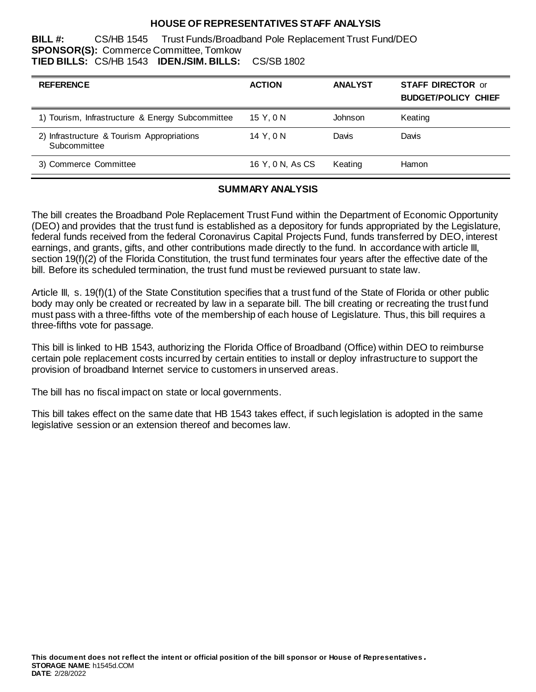#### **HOUSE OF REPRESENTATIVES STAFF ANALYSIS**

**BILL #:** CS/HB 1545 Trust Funds/Broadband Pole Replacement Trust Fund/DEO **SPONSOR(S):** Commerce Committee, Tomkow **TIED BILLS:** CS/HB 1543 **IDEN./SIM. BILLS:** CS/SB 1802

| <b>REFERENCE</b>                                           | <b>ACTION</b>    | <b>ANALYST</b> | <b>STAFF DIRECTOR or</b><br><b>BUDGET/POLICY CHIEF</b> |
|------------------------------------------------------------|------------------|----------------|--------------------------------------------------------|
| 1) Tourism, Infrastructure & Energy Subcommittee           | 15 Y.ON          | Johnson        | Keating                                                |
| 2) Infrastructure & Tourism Appropriations<br>Subcommittee | 14 Y, 0 N        | Davis          | Davis                                                  |
| 3) Commerce Committee                                      | 16 Y, 0 N, As CS | Keating        | Hamon                                                  |

#### **SUMMARY ANALYSIS**

The bill creates the Broadband Pole Replacement Trust Fund within the Department of Economic Opportunity (DEO) and provides that the trust fund is established as a depository for funds appropriated by the Legislature, federal funds received from the federal Coronavirus Capital Projects Fund, funds transferred by DEO, interest earnings, and grants, gifts, and other contributions made directly to the fund. In accordance with article III, section 19(f)(2) of the Florida Constitution, the trust fund terminates four years after the effective date of the bill. Before its scheduled termination, the trust fund must be reviewed pursuant to state law.

Article III, s. 19(f)(1) of the State Constitution specifies that a trust fund of the State of Florida or other public body may only be created or recreated by law in a separate bill. The bill creating or recreating the trust fund must pass with a three-fifths vote of the membership of each house of Legislature. Thus, this bill requires a three-fifths vote for passage.

This bill is linked to HB 1543, authorizing the Florida Office of Broadband (Office) within DEO to reimburse certain pole replacement costs incurred by certain entities to install or deploy infrastructure to support the provision of broadband Internet service to customers in unserved areas.

The bill has no fiscal impact on state or local governments.

This bill takes effect on the same date that HB 1543 takes effect, if such legislation is adopted in the same legislative session or an extension thereof and becomes law.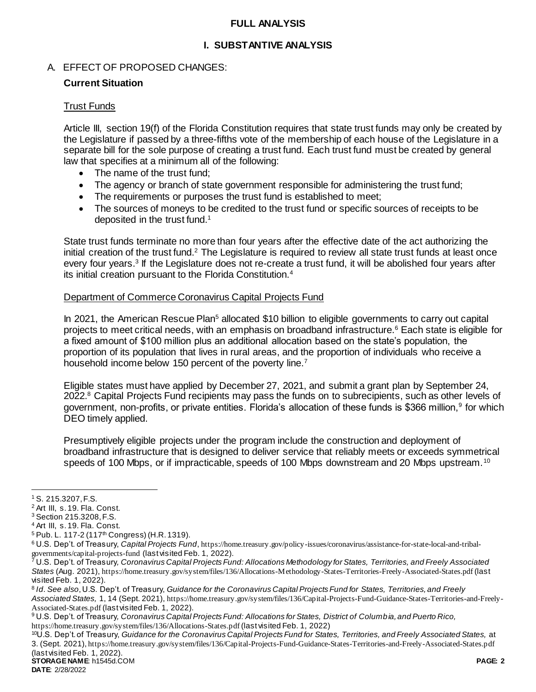#### **FULL ANALYSIS**

#### **I. SUBSTANTIVE ANALYSIS**

#### A. EFFECT OF PROPOSED CHANGES:

#### **Current Situation**

#### Trust Funds

Article III, section 19(f) of the Florida Constitution requires that state trust funds may only be created by the Legislature if passed by a three-fifths vote of the membership of each house of the Legislature in a separate bill for the sole purpose of creating a trust fund. Each trust fund must be created by general law that specifies at a minimum all of the following:

- The name of the trust fund;
- The agency or branch of state government responsible for administering the trust fund;
- The requirements or purposes the trust fund is established to meet;
- The sources of moneys to be credited to the trust fund or specific sources of receipts to be deposited in the trust fund.<sup>1</sup>

State trust funds terminate no more than four years after the effective date of the act authorizing the initial creation of the trust fund.<sup>2</sup> The Legislature is required to review all state trust funds at least once every four years.<sup>3</sup> If the Legislature does not re-create a trust fund, it will be abolished four years after its initial creation pursuant to the Florida Constitution.<sup>4</sup>

#### Department of Commerce Coronavirus Capital Projects Fund

In 2021, the American Rescue Plan<sup>5</sup> allocated \$10 billion to eligible governments to carry out capital projects to meet critical needs, with an emphasis on broadband infrastructure.<sup>6</sup> Each state is eligible for a fixed amount of \$100 million plus an additional allocation based on the state's population, the proportion of its population that lives in rural areas, and the proportion of individuals who receive a household income below 150 percent of the poverty line.<sup>7</sup>

Eligible states must have applied by December 27, 2021, and submit a grant plan by September 24, 2022.<sup>8</sup> Capital Projects Fund recipients may pass the funds on to subrecipients, such as other levels of government, non-profits, or private entities. Florida's allocation of these funds is \$366 million,<sup>9</sup> for which DEO timely applied.

Presumptively eligible projects under the program include the construction and deployment of broadband infrastructure that is designed to deliver service that reliably meets or exceeds symmetrical speeds of 100 Mbps, or if impracticable, speeds of 100 Mbps downstream and 20 Mbps upstream.<sup>10</sup>

 $\overline{a}$ 

<sup>1</sup> S. 215.3207, F.S.

<sup>2</sup> Art III, s. 19. Fla. Const.

<sup>3</sup> Section 215.3208, F.S.

<sup>4</sup> Art III, s. 19. Fla. Const.

<sup>&</sup>lt;sup>5</sup> Pub. L. 117-2 (117<sup>th</sup> Congress) (H.R. 1319).

<sup>6</sup> U.S. Dep't. of Treasury, *Capital Projects Fund*, [https://home.treasury.gov/policy-issues/coronavirus/assistance-for-state-local-and-tribal](https://home.treasury.gov/policy-issues/coronavirus/assistance-for-state-local-and-tribal-governments/capital-projects-fund)[governments/capital-projects-fund](https://home.treasury.gov/policy-issues/coronavirus/assistance-for-state-local-and-tribal-governments/capital-projects-fund) (last visited Feb. 1, 2022).

<sup>7</sup> U.S. Dep't. of Treasury*, Coronavirus Capital Projects Fund: Allocations Methodology for States, Territories, and Freely Associated States* (Aug. 2021), <https://home.treasury.gov/system/files/136/Allocations-Methodology-States-Territories-Freely-Associated-States.pdf> (last visited Feb. 1, 2022).

<sup>8</sup> *Id*. *See also*, U.S. Dep't. of Treasury, *Guidance for the Coronavirus Capital Projects Fund for States, Territories, and Freely Associated States,* 1, 14 (Sept. 2021), [https://home.treasury.gov/system/files/136/Capital-Projects-Fund-Guidance-States-Territories-and-Freely-](https://home.treasury.gov/system/files/136/Capital-Projects-Fund-Guidance-States-Territories-and-Freely-Associated-States.pdf)[Associated-States.pdf](https://home.treasury.gov/system/files/136/Capital-Projects-Fund-Guidance-States-Territories-and-Freely-Associated-States.pdf) (last visited Feb. 1, 2022).

<sup>9</sup> U.S. Dep't. of Treasury*, Coronavirus Capital Projects Fund: Allocations for States, District of Columbia, and Puerto Rico,* <https://home.treasury.gov/system/files/136/Allocations-States.pdf> (last visited Feb. 1, 2022)

**STORAGE NAME**: h1545d.COM **PAGE: 2** <sup>10</sup>U.S. Dep't. of Treasury, *Guidance for the Coronavirus Capital Projects Fund for States, Territories, and Freely Associated States,* at 3. (Sept. 2021), <https://home.treasury.gov/system/files/136/Capital-Projects-Fund-Guidance-States-Territories-and-Freely-Associated-States.pdf> (last visited Feb. 1, 2022).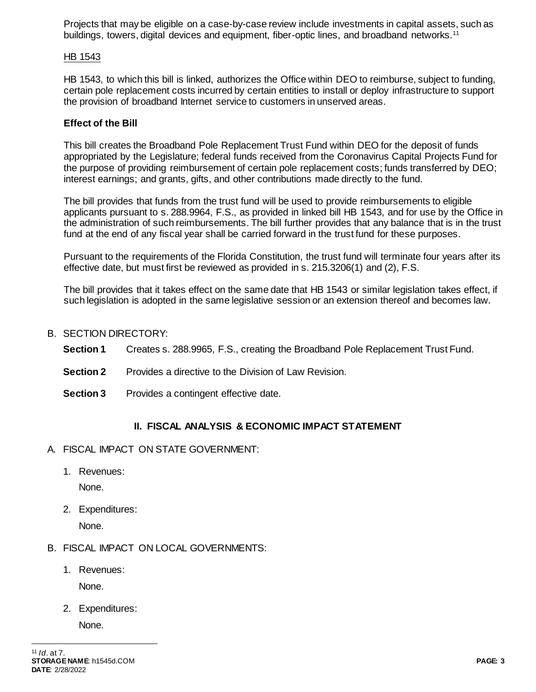Projects that may be eligible on a case-by-case review include investments in capital assets, such as buildings, towers, digital devices and equipment, fiber-optic lines, and broadband networks.<sup>11</sup>

### HB 1543

HB 1543, to which this bill is linked, authorizes the Office within DEO to reimburse, subject to funding, certain pole replacement costs incurred by certain entities to install or deploy infrastructure to support the provision of broadband Internet service to customers in unserved areas.

## **Effect of the Bill**

This bill creates the Broadband Pole Replacement Trust Fund within DEO for the deposit of funds appropriated by the Legislature; federal funds received from the Coronavirus Capital Projects Fund for the purpose of providing reimbursement of certain pole replacement costs; funds transferred by DEO; interest earnings; and grants, gifts, and other contributions made directly to the fund.

The bill provides that funds from the trust fund will be used to provide reimbursements to eligible applicants pursuant to s. 288.9964, F.S., as provided in linked bill HB 1543, and for use by the Office in the administration of such reimbursements. The bill further provides that any balance that is in the trust fund at the end of any fiscal year shall be carried forward in the trust fund for these purposes.

Pursuant to the requirements of the Florida Constitution, the trust fund will terminate four years after its effective date, but must first be reviewed as provided in s. 215.3206(1) and (2), F.S.

The bill provides that it takes effect on the same date that HB 1543 or similar legislation takes effect, if such legislation is adopted in the same legislative session or an extension thereof and becomes law.

- B. SECTION DIRECTORY:
	- **Section 1** Creates s. 288.9965, F.S., creating the Broadband Pole Replacement Trust Fund.
	- **Section 2** Provides a directive to the Division of Law Revision.
	- **Section 3** Provides a contingent effective date.

# **II. FISCAL ANALYSIS & ECONOMIC IMPACT STATEMENT**

- A. FISCAL IMPACT ON STATE GOVERNMENT:
	- 1. Revenues:

None.

2. Expenditures:

None.

- B. FISCAL IMPACT ON LOCAL GOVERNMENTS:
	- 1. Revenues:

None.

2. Expenditures:

None.

 $\overline{a}$